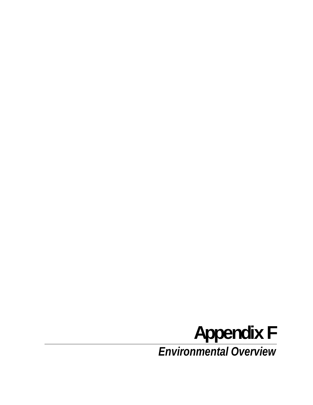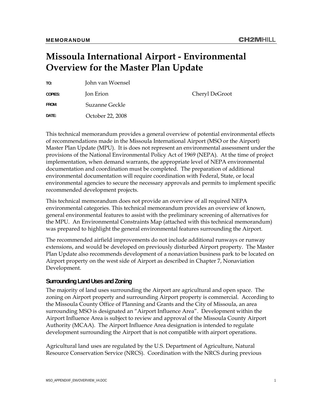# **Missoula International Airport - Environmental Overview for the Master Plan Update**

| TO:     | John van Woensel |                |
|---------|------------------|----------------|
| COPIES: | Jon Erion        | Cheryl DeGroot |
| FROM:   | Suzanne Geckle   |                |
| DATE:   | October 22, 2008 |                |

This technical memorandum provides a general overview of potential environmental effects of recommendations made in the Missoula International Airport (MSO or the Airport) Master Plan Update (MPU). It is does not represent an environmental assessment under the provisions of the National Environmental Policy Act of 1969 (NEPA). At the time of project implementation, when demand warrants, the appropriate level of NEPA environmental documentation and coordination must be completed. The preparation of additional environmental documentation will require coordination with Federal, State, or local environmental agencies to secure the necessary approvals and permits to implement specific recommended development projects.

This technical memorandum does not provide an overview of all required NEPA environmental categories. This technical memorandum provides an overview of known, general environmental features to assist with the preliminary screening of alternatives for the MPU. An Environmental Constraints Map (attached with this technical memorandum) was prepared to highlight the general environmental features surrounding the Airport.

The recommended airfield improvements do not include additional runways or runway extensions, and would be developed on previously disturbed Airport property. The Master Plan Update also recommends development of a nonaviation business park to be located on Airport property on the west side of Airport as described in Chapter 7, Nonaviation Development.

#### **Surrounding Land Uses and Zoning**

The majority of land uses surrounding the Airport are agricultural and open space. The zoning on Airport property and surrounding Airport property is commercial. According to the Missoula County Office of Planning and Grants and the City of Missoula, an area surrounding MSO is designated an "Airport Influence Area". Development within the Airport Influence Area is subject to review and approval of the Missoula County Airport Authority (MCAA). The Airport Influence Area designation is intended to regulate development surrounding the Airport that is not compatible with airport operations.

Agricultural land uses are regulated by the U.S. Department of Agriculture, Natural Resource Conservation Service (NRCS). Coordination with the NRCS during previous